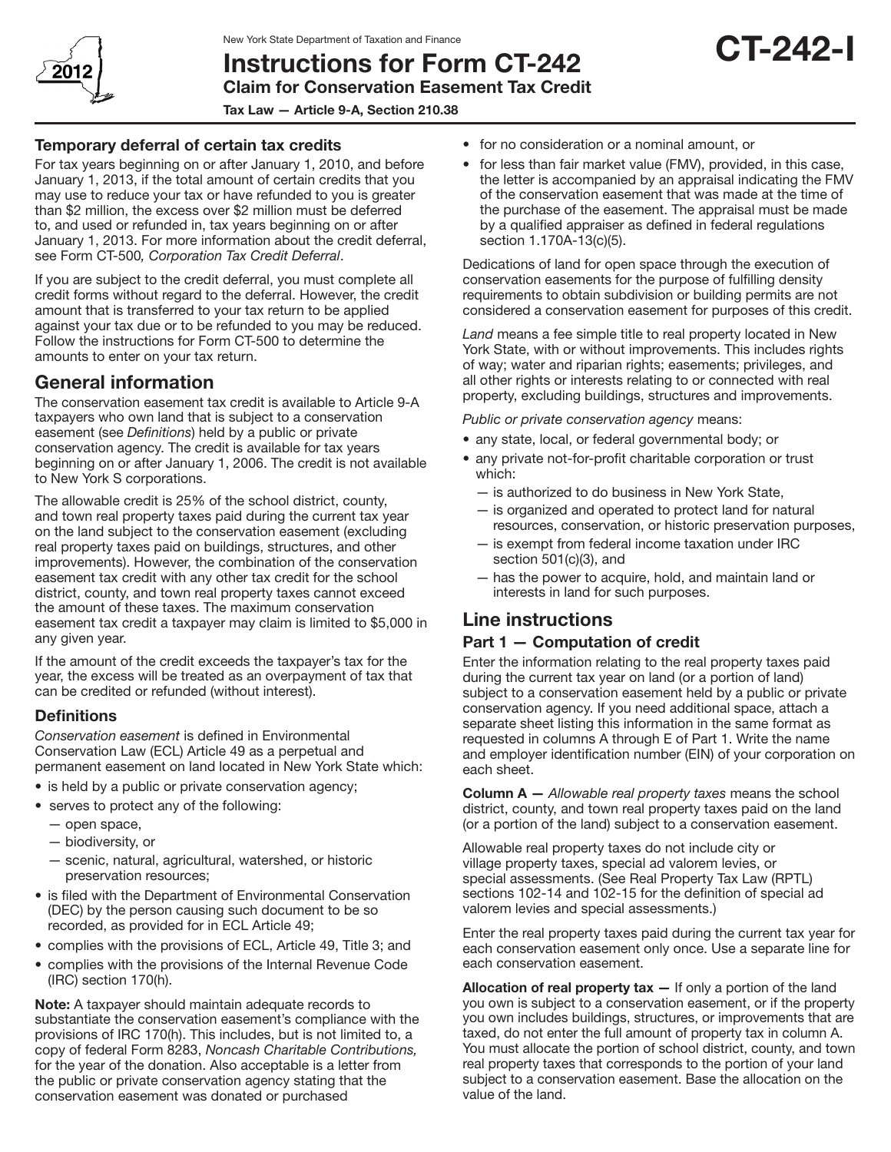

# Instructions for Form CT-242 Claim for Conservation Easement Tax Credit

Tax Law — Article 9-A, Section 210.38

### Temporary deferral of certain tax credits

For tax years beginning on or after January 1, 2010, and before January 1, 2013, if the total amount of certain credits that you may use to reduce your tax or have refunded to you is greater than \$2 million, the excess over \$2 million must be deferred to, and used or refunded in, tax years beginning on or after January 1, 2013. For more information about the credit deferral, see Form CT-500*, Corporation Tax Credit Deferral*.

If you are subject to the credit deferral, you must complete all credit forms without regard to the deferral. However, the credit amount that is transferred to your tax return to be applied against your tax due or to be refunded to you may be reduced. Follow the instructions for Form CT-500 to determine the amounts to enter on your tax return.

## General information

The conservation easement tax credit is available to Article 9-A taxpayers who own land that is subject to a conservation easement (see *Definitions*) held by a public or private conservation agency. The credit is available for tax years beginning on or after January 1, 2006. The credit is not available to New York S corporations.

The allowable credit is 25% of the school district, county, and town real property taxes paid during the current tax year on the land subject to the conservation easement (excluding real property taxes paid on buildings, structures, and other improvements). However, the combination of the conservation easement tax credit with any other tax credit for the school district, county, and town real property taxes cannot exceed the amount of these taxes. The maximum conservation easement tax credit a taxpayer may claim is limited to \$5,000 in any given year.

If the amount of the credit exceeds the taxpayer's tax for the year, the excess will be treated as an overpayment of tax that can be credited or refunded (without interest).

## **Definitions**

*Conservation easement* is defined in Environmental Conservation Law (ECL) Article 49 as a perpetual and permanent easement on land located in New York State which:

- is held by a public or private conservation agency;
- serves to protect any of the following:
	- open space,
	- biodiversity, or
	- scenic, natural, agricultural, watershed, or historic preservation resources;
- is filed with the Department of Environmental Conservation (DEC) by the person causing such document to be so recorded, as provided for in ECL Article 49;
- complies with the provisions of ECL, Article 49, Title 3; and
- • complies with the provisions of the Internal Revenue Code (IRC) section 170(h).

Note: A taxpayer should maintain adequate records to substantiate the conservation easement's compliance with the provisions of IRC 170(h). This includes, but is not limited to, a copy of federal Form 8283, *Noncash Charitable Contributions,*  for the year of the donation. Also acceptable is a letter from the public or private conservation agency stating that the conservation easement was donated or purchased

- for no consideration or a nominal amount, or
- for less than fair market value (FMV), provided, in this case, the letter is accompanied by an appraisal indicating the FMV of the conservation easement that was made at the time of the purchase of the easement. The appraisal must be made by a qualified appraiser as defined in federal regulations section 1.170A-13(c)(5).

CT-242-I

Dedications of land for open space through the execution of conservation easements for the purpose of fulfilling density requirements to obtain subdivision or building permits are not considered a conservation easement for purposes of this credit.

*Land* means a fee simple title to real property located in New York State, with or without improvements. This includes rights of way; water and riparian rights; easements; privileges, and all other rights or interests relating to or connected with real property, excluding buildings, structures and improvements.

*Public or private conservation agency* means:

- any state, local, or federal governmental body; or
- any private not-for-profit charitable corporation or trust which:
	- is authorized to do business in New York State,
	- is organized and operated to protect land for natural resources, conservation, or historic preservation purposes,
	- $-$  is exempt from federal income taxation under IRC section 501(c)(3), and
	- has the power to acquire, hold, and maintain land or interests in land for such purposes.

# Line instructions

### Part 1 — Computation of credit

Enter the information relating to the real property taxes paid during the current tax year on land (or a portion of land) subject to a conservation easement held by a public or private conservation agency. If you need additional space, attach a separate sheet listing this information in the same format as requested in columns A through E of Part 1. Write the name and employer identification number (EIN) of your corporation on each sheet.

Column A — *Allowable real property taxes* means the school district, county, and town real property taxes paid on the land (or a portion of the land) subject to a conservation easement.

Allowable real property taxes do not include city or village property taxes, special ad valorem levies, or special assessments. (See Real Property Tax Law (RPTL) sections 102-14 and 102-15 for the definition of special ad valorem levies and special assessments.)

Enter the real property taxes paid during the current tax year for each conservation easement only once. Use a separate line for each conservation easement.

Allocation of real property  $\text{tax}$   $-$  If only a portion of the land you own is subject to a conservation easement, or if the property you own includes buildings, structures, or improvements that are taxed, do not enter the full amount of property tax in column A. You must allocate the portion of school district, county, and town real property taxes that corresponds to the portion of your land subject to a conservation easement. Base the allocation on the value of the land.